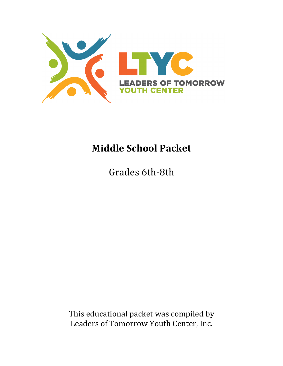

# **Middle School Packet**

Grades 6th-8th

This educational packet was compiled by Leaders of Tomorrow Youth Center, Inc.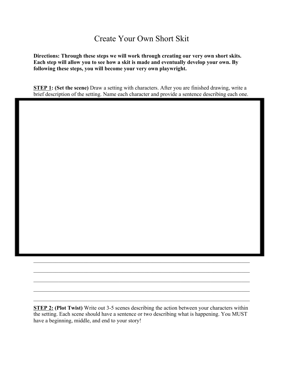### Create Your Own Short Skit

**Directions: Through these steps we will work through creating our very own short skits. Each step will allow you to see how a skit is made and eventually develop your own. By following these steps, you will become your very own playwright.**

**STEP 1: (Set the scene)** Draw a setting with characters. After you are finished drawing, write a brief description of the setting. Name each character and provide a sentence describing each one.

**STEP 2: (Plot Twist)** Write out 3-5 scenes describing the action between your characters within the setting. Each scene should have a sentence or two describing what is happening. You MUST have a beginning, middle, and end to your story!

 $\mathcal{L}_\mathcal{L} = \{ \mathcal{L}_\mathcal{L} = \{ \mathcal{L}_\mathcal{L} = \{ \mathcal{L}_\mathcal{L} = \{ \mathcal{L}_\mathcal{L} = \{ \mathcal{L}_\mathcal{L} = \{ \mathcal{L}_\mathcal{L} = \{ \mathcal{L}_\mathcal{L} = \{ \mathcal{L}_\mathcal{L} = \{ \mathcal{L}_\mathcal{L} = \{ \mathcal{L}_\mathcal{L} = \{ \mathcal{L}_\mathcal{L} = \{ \mathcal{L}_\mathcal{L} = \{ \mathcal{L}_\mathcal{L} = \{ \mathcal{L}_\mathcal{$ 

 $\mathcal{L}_\mathcal{L} = \{ \mathcal{L}_\mathcal{L} = \{ \mathcal{L}_\mathcal{L} = \{ \mathcal{L}_\mathcal{L} = \{ \mathcal{L}_\mathcal{L} = \{ \mathcal{L}_\mathcal{L} = \{ \mathcal{L}_\mathcal{L} = \{ \mathcal{L}_\mathcal{L} = \{ \mathcal{L}_\mathcal{L} = \{ \mathcal{L}_\mathcal{L} = \{ \mathcal{L}_\mathcal{L} = \{ \mathcal{L}_\mathcal{L} = \{ \mathcal{L}_\mathcal{L} = \{ \mathcal{L}_\mathcal{L} = \{ \mathcal{L}_\mathcal{$ 

 $\mathcal{L}_\mathcal{L} = \{ \mathcal{L}_\mathcal{L} = \{ \mathcal{L}_\mathcal{L} = \{ \mathcal{L}_\mathcal{L} = \{ \mathcal{L}_\mathcal{L} = \{ \mathcal{L}_\mathcal{L} = \{ \mathcal{L}_\mathcal{L} = \{ \mathcal{L}_\mathcal{L} = \{ \mathcal{L}_\mathcal{L} = \{ \mathcal{L}_\mathcal{L} = \{ \mathcal{L}_\mathcal{L} = \{ \mathcal{L}_\mathcal{L} = \{ \mathcal{L}_\mathcal{L} = \{ \mathcal{L}_\mathcal{L} = \{ \mathcal{L}_\mathcal{$ 

 $\mathcal{L}_\mathcal{L} = \{ \mathcal{L}_\mathcal{L} = \{ \mathcal{L}_\mathcal{L} = \{ \mathcal{L}_\mathcal{L} = \{ \mathcal{L}_\mathcal{L} = \{ \mathcal{L}_\mathcal{L} = \{ \mathcal{L}_\mathcal{L} = \{ \mathcal{L}_\mathcal{L} = \{ \mathcal{L}_\mathcal{L} = \{ \mathcal{L}_\mathcal{L} = \{ \mathcal{L}_\mathcal{L} = \{ \mathcal{L}_\mathcal{L} = \{ \mathcal{L}_\mathcal{L} = \{ \mathcal{L}_\mathcal{L} = \{ \mathcal{L}_\mathcal{$ 

 $\mathcal{L}_\mathcal{L} = \{ \mathcal{L}_\mathcal{L} = \{ \mathcal{L}_\mathcal{L} = \{ \mathcal{L}_\mathcal{L} = \{ \mathcal{L}_\mathcal{L} = \{ \mathcal{L}_\mathcal{L} = \{ \mathcal{L}_\mathcal{L} = \{ \mathcal{L}_\mathcal{L} = \{ \mathcal{L}_\mathcal{L} = \{ \mathcal{L}_\mathcal{L} = \{ \mathcal{L}_\mathcal{L} = \{ \mathcal{L}_\mathcal{L} = \{ \mathcal{L}_\mathcal{L} = \{ \mathcal{L}_\mathcal{L} = \{ \mathcal{L}_\mathcal{$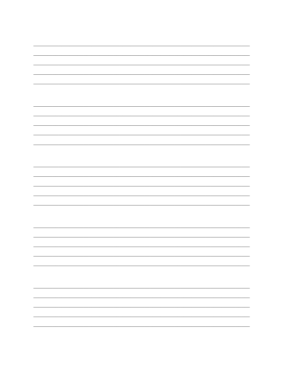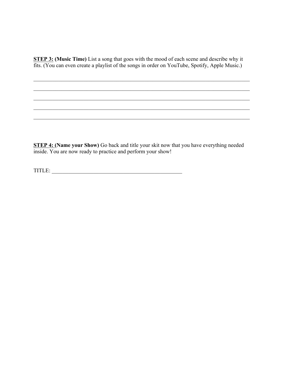**STEP 3: (Music Time)** List a song that goes with the mood of each scene and describe why it fits. (You can even create a playlist of the songs in order on YouTube, Spotify, Apple Music.)

 $\mathcal{L}_\mathcal{L} = \{ \mathcal{L}_\mathcal{L} = \{ \mathcal{L}_\mathcal{L} = \{ \mathcal{L}_\mathcal{L} = \{ \mathcal{L}_\mathcal{L} = \{ \mathcal{L}_\mathcal{L} = \{ \mathcal{L}_\mathcal{L} = \{ \mathcal{L}_\mathcal{L} = \{ \mathcal{L}_\mathcal{L} = \{ \mathcal{L}_\mathcal{L} = \{ \mathcal{L}_\mathcal{L} = \{ \mathcal{L}_\mathcal{L} = \{ \mathcal{L}_\mathcal{L} = \{ \mathcal{L}_\mathcal{L} = \{ \mathcal{L}_\mathcal{$ 

 $\mathcal{L}_\mathcal{L} = \{ \mathcal{L}_\mathcal{L} = \{ \mathcal{L}_\mathcal{L} = \{ \mathcal{L}_\mathcal{L} = \{ \mathcal{L}_\mathcal{L} = \{ \mathcal{L}_\mathcal{L} = \{ \mathcal{L}_\mathcal{L} = \{ \mathcal{L}_\mathcal{L} = \{ \mathcal{L}_\mathcal{L} = \{ \mathcal{L}_\mathcal{L} = \{ \mathcal{L}_\mathcal{L} = \{ \mathcal{L}_\mathcal{L} = \{ \mathcal{L}_\mathcal{L} = \{ \mathcal{L}_\mathcal{L} = \{ \mathcal{L}_\mathcal{$ 

 $\mathcal{L}_\mathcal{L} = \{ \mathcal{L}_\mathcal{L} = \{ \mathcal{L}_\mathcal{L} = \{ \mathcal{L}_\mathcal{L} = \{ \mathcal{L}_\mathcal{L} = \{ \mathcal{L}_\mathcal{L} = \{ \mathcal{L}_\mathcal{L} = \{ \mathcal{L}_\mathcal{L} = \{ \mathcal{L}_\mathcal{L} = \{ \mathcal{L}_\mathcal{L} = \{ \mathcal{L}_\mathcal{L} = \{ \mathcal{L}_\mathcal{L} = \{ \mathcal{L}_\mathcal{L} = \{ \mathcal{L}_\mathcal{L} = \{ \mathcal{L}_\mathcal{$ 

 $\Box \Box \Box \Box \Box \Box \Box \Box$ 

\_\_\_\_\_\_\_\_\_\_\_\_\_\_\_\_\_\_\_\_\_\_\_\_\_\_\_\_\_\_\_\_\_\_\_\_\_\_\_\_\_\_\_\_\_\_\_\_\_\_\_\_\_\_\_\_\_\_\_\_\_\_\_\_\_\_\_\_\_\_\_\_\_\_\_\_\_\_

**STEP 4: (Name your Show)** Go back and title your skit now that you have everything needed inside. You are now ready to practice and perform your show!

TITLE: \_\_\_\_\_\_\_\_\_\_\_\_\_\_\_\_\_\_\_\_\_\_\_\_\_\_\_\_\_\_\_\_\_\_\_\_\_\_\_\_\_\_\_\_\_\_\_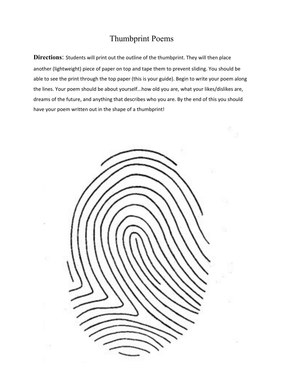### Thumbprint Poems

**Directions**: Students will print out the outline of the thumbprint. They will then place another (lightweight) piece of paper on top and tape them to prevent sliding. You should be able to see the print through the top paper (this is your guide). Begin to write your poem along the lines. Your poem should be about yourself...how old you are, what your likes/dislikes are, dreams of the future, and anything that describes who you are. By the end of this you should have your poem written out in the shape of a thumbprint!

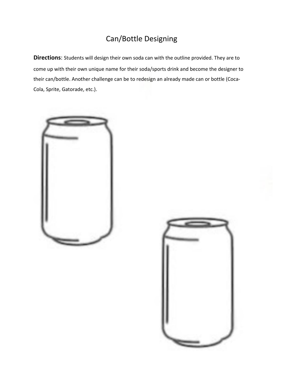## Can/Bottle Designing

**Directions**: Students will design their own soda can with the outline provided. They are to come up with their own unique name for their soda/sports drink and become the designer to their can/bottle. Another challenge can be to redesign an already made can or bottle (Coca-Cola, Sprite, Gatorade, etc.).



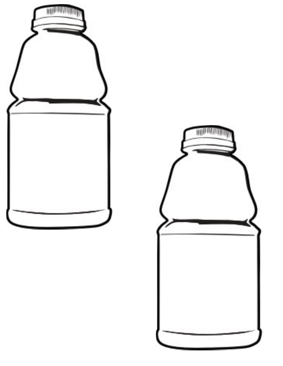

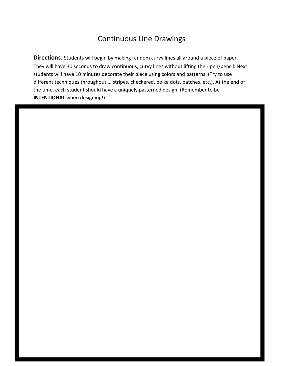#### Continuous Line Drawings

**Directions**: Students will begin by making random curvy lines all around a piece of paper. They will have 30 seconds to draw continuous, curvy lines without lifting their pen/pencil. Next students will have 10 minutes decorate their piece using colors and patterns. (Try to use different techniques throughout.... stripes, checkered, polka dots, patches, etc.). At the end of the time, each student should have a uniquely patterned design. (Remember to be **INTENTIONAL** when designing!)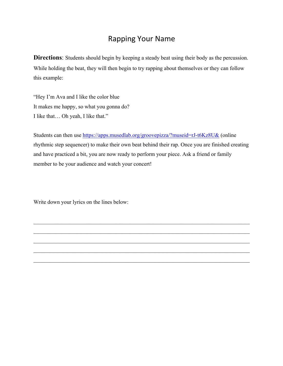#### **Rapping Your Name**

**Directions**: Students should begin by keeping a steady beat using their body as the percussion. While holding the beat, they will then begin to try rapping about themselves or they can follow this example:

"Hey I'm Ava and I like the color blue It makes me happy, so what you gonna do? I like that… Oh yeah, I like that."

Students can then use https://apps.musedlab.org/groovepizza/?museid=rJ-t6Kz8U& (online rhythmic step sequencer) to make their own beat behind their rap. Once you are finished creating and have practiced a bit, you are now ready to perform your piece. Ask a friend or family member to be your audience and watch your concert!

 $\mathcal{L}_\mathcal{L} = \{ \mathcal{L}_\mathcal{L} = \{ \mathcal{L}_\mathcal{L} = \{ \mathcal{L}_\mathcal{L} = \{ \mathcal{L}_\mathcal{L} = \{ \mathcal{L}_\mathcal{L} = \{ \mathcal{L}_\mathcal{L} = \{ \mathcal{L}_\mathcal{L} = \{ \mathcal{L}_\mathcal{L} = \{ \mathcal{L}_\mathcal{L} = \{ \mathcal{L}_\mathcal{L} = \{ \mathcal{L}_\mathcal{L} = \{ \mathcal{L}_\mathcal{L} = \{ \mathcal{L}_\mathcal{L} = \{ \mathcal{L}_\mathcal{$ 

 $\mathcal{L}_\mathcal{L} = \{ \mathcal{L}_\mathcal{L} = \{ \mathcal{L}_\mathcal{L} = \{ \mathcal{L}_\mathcal{L} = \{ \mathcal{L}_\mathcal{L} = \{ \mathcal{L}_\mathcal{L} = \{ \mathcal{L}_\mathcal{L} = \{ \mathcal{L}_\mathcal{L} = \{ \mathcal{L}_\mathcal{L} = \{ \mathcal{L}_\mathcal{L} = \{ \mathcal{L}_\mathcal{L} = \{ \mathcal{L}_\mathcal{L} = \{ \mathcal{L}_\mathcal{L} = \{ \mathcal{L}_\mathcal{L} = \{ \mathcal{L}_\mathcal{$ 

 $\mathcal{L}_\mathcal{L} = \{ \mathcal{L}_\mathcal{L} = \{ \mathcal{L}_\mathcal{L} = \{ \mathcal{L}_\mathcal{L} = \{ \mathcal{L}_\mathcal{L} = \{ \mathcal{L}_\mathcal{L} = \{ \mathcal{L}_\mathcal{L} = \{ \mathcal{L}_\mathcal{L} = \{ \mathcal{L}_\mathcal{L} = \{ \mathcal{L}_\mathcal{L} = \{ \mathcal{L}_\mathcal{L} = \{ \mathcal{L}_\mathcal{L} = \{ \mathcal{L}_\mathcal{L} = \{ \mathcal{L}_\mathcal{L} = \{ \mathcal{L}_\mathcal{$ 

 $\mathcal{L}_\mathcal{L} = \{ \mathcal{L}_\mathcal{L} = \{ \mathcal{L}_\mathcal{L} = \{ \mathcal{L}_\mathcal{L} = \{ \mathcal{L}_\mathcal{L} = \{ \mathcal{L}_\mathcal{L} = \{ \mathcal{L}_\mathcal{L} = \{ \mathcal{L}_\mathcal{L} = \{ \mathcal{L}_\mathcal{L} = \{ \mathcal{L}_\mathcal{L} = \{ \mathcal{L}_\mathcal{L} = \{ \mathcal{L}_\mathcal{L} = \{ \mathcal{L}_\mathcal{L} = \{ \mathcal{L}_\mathcal{L} = \{ \mathcal{L}_\mathcal{$ 

 $\mathcal{L}_\mathcal{L} = \{ \mathcal{L}_\mathcal{L} = \{ \mathcal{L}_\mathcal{L} = \{ \mathcal{L}_\mathcal{L} = \{ \mathcal{L}_\mathcal{L} = \{ \mathcal{L}_\mathcal{L} = \{ \mathcal{L}_\mathcal{L} = \{ \mathcal{L}_\mathcal{L} = \{ \mathcal{L}_\mathcal{L} = \{ \mathcal{L}_\mathcal{L} = \{ \mathcal{L}_\mathcal{L} = \{ \mathcal{L}_\mathcal{L} = \{ \mathcal{L}_\mathcal{L} = \{ \mathcal{L}_\mathcal{L} = \{ \mathcal{L}_\mathcal{$ 

Write down your lyrics on the lines below: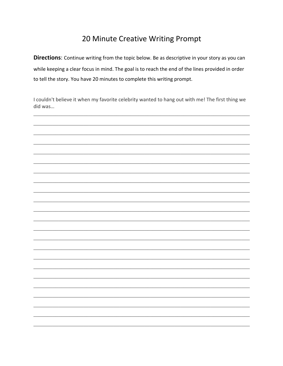### 20 Minute Creative Writing Prompt

Directions: Continue writing from the topic below. Be as descriptive in your story as you can while keeping a clear focus in mind. The goal is to reach the end of the lines provided in order to tell the story. You have 20 minutes to complete this writing prompt.

I couldn't believe it when my favorite celebrity wanted to hang out with me! The first thing we did was...